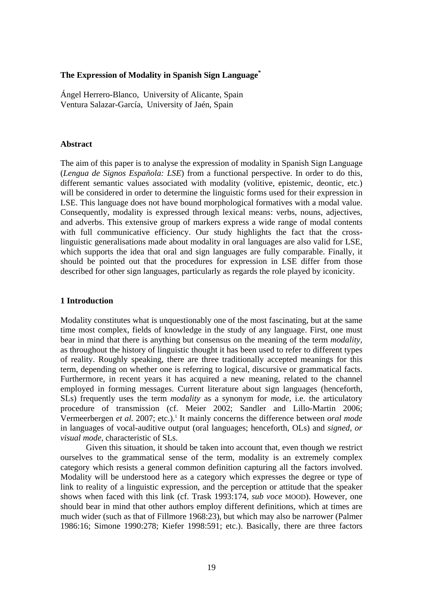# **The Expression of Modality in Spanish Sign Language\***

Ángel Herrero-Blanco, University of Alicante, Spain Ventura Salazar-García, University of Jaén, Spain

#### **Abstract**

The aim of this paper is to analyse the expression of modality in Spanish Sign Language (*Lengua de Signos Española: LSE*) from a functional perspective. In order to do this, different semantic values associated with modality (volitive, epistemic, deontic, etc.) will be considered in order to determine the linguistic forms used for their expression in LSE. This language does not have bound morphological formatives with a modal value. Consequently, modality is expressed through lexical means: verbs, nouns, adjectives, and adverbs. This extensive group of markers express a wide range of modal contents with full communicative efficiency. Our study highlights the fact that the crosslinguistic generalisations made about modality in oral languages are also valid for LSE, which supports the idea that oral and sign languages are fully comparable. Finally, it should be pointed out that the procedures for expression in LSE differ from those described for other sign languages, particularly as regards the role played by iconicity.

## **1 Introduction**

Modality constitutes what is unquestionably one of the most fascinating, but at the same time most complex, fields of knowledge in the study of any language. First, one must bear in mind that there is anything but consensus on the meaning of the term *modality*, as throughout the history of linguistic thought it has been used to refer to different types of reality. Roughly speaking, there are three traditionally accepted meanings for this term, depending on whether one is referring to logical, discursive or grammatical facts. Furthermore, in recent years it has acquired a new meaning, related to the channel employed in forming messages. Current literature about sign languages (henceforth, SLs) frequently uses the term *modality* as a synonym for *mode*, i.e. the articulatory procedure of transmission (cf. Meier 2002; Sandler and Lillo-Martin 2006; Vermeerbergen et al. 2007; etc.).<sup>1</sup> It mainly concerns the difference between oral mode in languages of vocal-auditive output (oral languages; henceforth, OLs) and *signed, or visual mode*, characteristic of SLs.

 Given this situation, it should be taken into account that, even though we restrict ourselves to the grammatical sense of the term, modality is an extremely complex category which resists a general common definition capturing all the factors involved. Modality will be understood here as a category which expresses the degree or type of link to reality of a linguistic expression, and the perception or attitude that the speaker shows when faced with this link (cf. Trask 1993:174, *sub voce* MOOD). However, one should bear in mind that other authors employ different definitions, which at times are much wider (such as that of Fillmore 1968:23), but which may also be narrower (Palmer 1986:16; Simone 1990:278; Kiefer 1998:591; etc.). Basically, there are three factors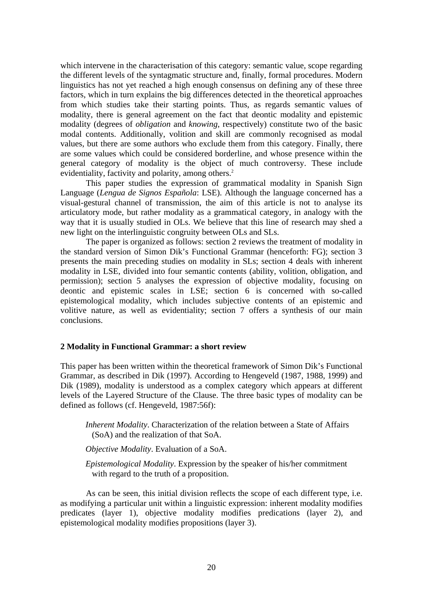which intervene in the characterisation of this category: semantic value, scope regarding the different levels of the syntagmatic structure and, finally, formal procedures. Modern linguistics has not yet reached a high enough consensus on defining any of these three factors, which in turn explains the big differences detected in the theoretical approaches from which studies take their starting points. Thus, as regards semantic values of modality, there is general agreement on the fact that deontic modality and epistemic modality (degrees of *obligation* and *knowing*, respectively) constitute two of the basic modal contents. Additionally, volition and skill are commonly recognised as modal values, but there are some authors who exclude them from this category. Finally, there are some values which could be considered borderline, and whose presence within the general category of modality is the object of much controversy. These include evidentiality, factivity and polarity, among others.<sup>2</sup>

This paper studies the expression of grammatical modality in Spanish Sign Language (*Lengua de Signos Española*: LSE). Although the language concerned has a visual-gestural channel of transmission, the aim of this article is not to analyse its articulatory mode, but rather modality as a grammatical category, in analogy with the way that it is usually studied in OLs. We believe that this line of research may shed a new light on the interlinguistic congruity between OLs and SLs.

 The paper is organized as follows: section 2 reviews the treatment of modality in the standard version of Simon Dik's Functional Grammar (henceforth: FG); section 3 presents the main preceding studies on modality in SLs; section 4 deals with inherent modality in LSE, divided into four semantic contents (ability, volition, obligation, and permission); section 5 analyses the expression of objective modality, focusing on deontic and epistemic scales in LSE; section 6 is concerned with so-called epistemological modality, which includes subjective contents of an epistemic and volitive nature, as well as evidentiality; section 7 offers a synthesis of our main conclusions.

## **2 Modality in Functional Grammar: a short review**

This paper has been written within the theoretical framework of Simon Dik's Functional Grammar, as described in Dik (1997). According to Hengeveld (1987, 1988, 1999) and Dik (1989), modality is understood as a complex category which appears at different levels of the Layered Structure of the Clause. The three basic types of modality can be defined as follows (cf. Hengeveld, 1987:56f):

*Inherent Modality*. Characterization of the relation between a State of Affairs (SoA) and the realization of that SoA.

*Objective Modality*. Evaluation of a SoA.

*Epistemological Modality*. Expression by the speaker of his/her commitment with regard to the truth of a proposition.

 As can be seen, this initial division reflects the scope of each different type, i.e. as modifying a particular unit within a linguistic expression: inherent modality modifies predicates (layer 1), objective modality modifies predications (layer 2), and epistemological modality modifies propositions (layer 3).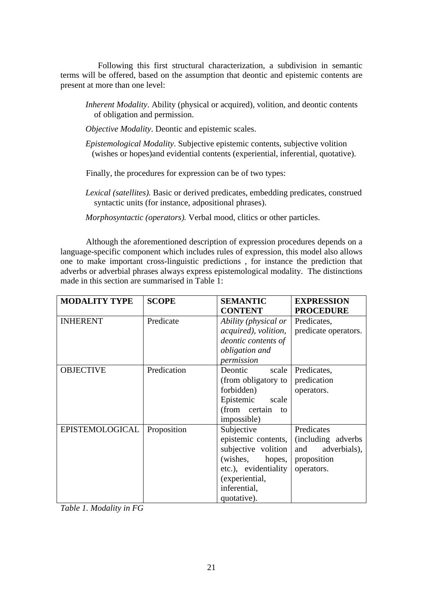Following this first structural characterization, a subdivision in semantic terms will be offered, based on the assumption that deontic and epistemic contents are present at more than one level:

- *Inherent Modality*. Ability (physical or acquired), volition, and deontic contents of obligation and permission.
- *Objective Modality*. Deontic and epistemic scales.
- *Epistemological Modality*. Subjective epistemic contents, subjective volition (wishes or hopes)and evidential contents (experiential, inferential, quotative).
- Finally, the procedures for expression can be of two types:
- *Lexical (satellites).* Basic or derived predicates, embedding predicates, construed syntactic units (for instance, adpositional phrases).
- *Morphosyntactic (operators).* Verbal mood, clitics or other particles.

 Although the aforementioned description of expression procedures depends on a language-specific component which includes rules of expression, this model also allows one to make important cross-linguistic predictions , for instance the prediction that adverbs or adverbial phrases always express epistemological modality. The distinctions made in this section are summarised in Table 1:

| <b>MODALITY TYPE</b> | <b>SCOPE</b> | <b>SEMANTIC</b>      | <b>EXPRESSION</b>    |
|----------------------|--------------|----------------------|----------------------|
|                      |              | <b>CONTENT</b>       | <b>PROCEDURE</b>     |
| <b>INHERENT</b>      | Predicate    | Ability (physical or | Predicates,          |
|                      |              | acquired), volition, | predicate operators. |
|                      |              | deontic contents of  |                      |
|                      |              | obligation and       |                      |
|                      |              | permission           |                      |
| <b>OBJECTIVE</b>     | Predication  | Deontic<br>scale     | Predicates,          |
|                      |              | (from obligatory to  | predication          |
|                      |              | forbidden)           | operators.           |
|                      |              | Epistemic<br>scale   |                      |
|                      |              | (from certain<br>to  |                      |
|                      |              | impossible)          |                      |
| EPISTEMOLOGICAL      | Proposition  | Subjective           | Predicates           |
|                      |              | epistemic contents,  | (including adverbs)  |
|                      |              | subjective volition  | adverbials),<br>and  |
|                      |              | (wishes,<br>hopes,   | proposition          |
|                      |              | etc.), evidentiality | operators.           |
|                      |              | (experiential,       |                      |
|                      |              | inferential,         |                      |
|                      |              | quotative).          |                      |

*Table 1. Modality in FG*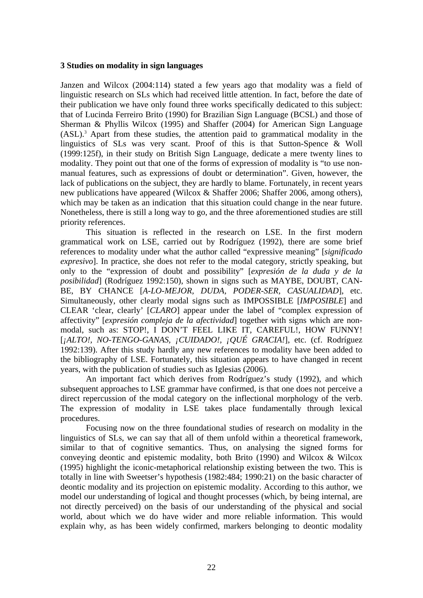#### **3 Studies on modality in sign languages**

Janzen and Wilcox (2004:114) stated a few years ago that modality was a field of linguistic research on SLs which had received little attention. In fact, before the date of their publication we have only found three works specifically dedicated to this subject: that of Lucinda Ferreiro Brito (1990) for Brazilian Sign Language (BCSL) and those of Sherman & Phyllis Wilcox (1995) and Shaffer (2004) for American Sign Language (ASL).3 Apart from these studies, the attention paid to grammatical modality in the linguistics of SLs was very scant. Proof of this is that Sutton-Spence & Woll (1999:125f), in their study on British Sign Language, dedicate a mere twenty lines to modality. They point out that one of the forms of expression of modality is "to use nonmanual features, such as expressions of doubt or determination". Given, however, the lack of publications on the subject, they are hardly to blame. Fortunately, in recent years new publications have appeared (Wilcox & Shaffer 2006; Shaffer 2006, among others), which may be taken as an indication that this situation could change in the near future. Nonetheless, there is still a long way to go, and the three aforementioned studies are still priority references.

 This situation is reflected in the research on LSE. In the first modern grammatical work on LSE, carried out by Rodríguez (1992), there are some brief references to modality under what the author called "expressive meaning" [*significado expresivo*]. In practice, she does not refer to the modal category, strictly speaking, but only to the "expression of doubt and possibility" [*expresión de la duda y de la posibilidad*] (Rodríguez 1992:150), shown in signs such as MAYBE, DOUBT, CAN-BE, BY CHANCE [*A-LO-MEJOR, DUDA, PODER-SER, CASUALIDAD*], etc. Simultaneously, other clearly modal signs such as IMPOSSIBLE [*IMPOSIBLE*] and CLEAR 'clear, clearly' [*CLARO*] appear under the label of "complex expression of affectivity" [*expresión compleja de la afectividad*] together with signs which are nonmodal, such as: STOP!, I DON'T FEEL LIKE IT, CAREFUL!, HOW FUNNY! [*¡ALTO!, NO-TENGO-GANAS, ¡CUIDADO!, ¡QUÉ GRACIA!*], etc. (cf. Rodríguez 1992:139). After this study hardly any new references to modality have been added to the bibliography of LSE. Fortunately, this situation appears to have changed in recent years, with the publication of studies such as Iglesias (2006).

 An important fact which derives from Rodríguez's study (1992), and which subsequent approaches to LSE grammar have confirmed, is that one does not perceive a direct repercussion of the modal category on the inflectional morphology of the verb. The expression of modality in LSE takes place fundamentally through lexical procedures.

 Focusing now on the three foundational studies of research on modality in the linguistics of SLs, we can say that all of them unfold within a theoretical framework, similar to that of cognitive semantics. Thus, on analysing the signed forms for conveying deontic and epistemic modality, both Brito (1990) and Wilcox & Wilcox (1995) highlight the iconic-metaphorical relationship existing between the two. This is totally in line with Sweetser's hypothesis (1982:484; 1990:21) on the basic character of deontic modality and its projection on epistemic modality. According to this author, we model our understanding of logical and thought processes (which, by being internal, are not directly perceived) on the basis of our understanding of the physical and social world, about which we do have wider and more reliable information. This would explain why, as has been widely confirmed, markers belonging to deontic modality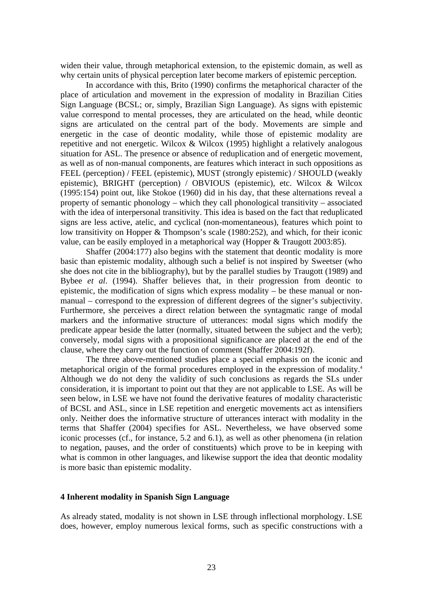widen their value, through metaphorical extension, to the epistemic domain, as well as why certain units of physical perception later become markers of epistemic perception.

 In accordance with this, Brito (1990) confirms the metaphorical character of the place of articulation and movement in the expression of modality in Brazilian Cities Sign Language (BCSL; or, simply, Brazilian Sign Language). As signs with epistemic value correspond to mental processes, they are articulated on the head, while deontic signs are articulated on the central part of the body. Movements are simple and energetic in the case of deontic modality, while those of epistemic modality are repetitive and not energetic. Wilcox & Wilcox (1995) highlight a relatively analogous situation for ASL. The presence or absence of reduplication and of energetic movement, as well as of non-manual components, are features which interact in such oppositions as FEEL (perception) / FEEL (epistemic), MUST (strongly epistemic) / SHOULD (weakly epistemic), BRIGHT (perception) / OBVIOUS (epistemic), etc. Wilcox & Wilcox (1995:154) point out, like Stokoe (1960) did in his day, that these alternations reveal a property of semantic phonology – which they call phonological transitivity – associated with the idea of interpersonal transitivity. This idea is based on the fact that reduplicated signs are less active, atelic, and cyclical (non-momentaneous), features which point to low transitivity on Hopper & Thompson's scale (1980:252), and which, for their iconic value, can be easily employed in a metaphorical way (Hopper & Traugott 2003:85).

 Shaffer (2004:177) also begins with the statement that deontic modality is more basic than epistemic modality, although such a belief is not inspired by Sweetser (who she does not cite in the bibliography), but by the parallel studies by Traugott (1989) and Bybee *et al*. (1994). Shaffer believes that, in their progression from deontic to epistemic, the modification of signs which express modality – be these manual or nonmanual – correspond to the expression of different degrees of the signer's subjectivity. Furthermore, she perceives a direct relation between the syntagmatic range of modal markers and the informative structure of utterances: modal signs which modify the predicate appear beside the latter (normally, situated between the subject and the verb); conversely, modal signs with a propositional significance are placed at the end of the clause, where they carry out the function of comment (Shaffer 2004:192f).

 The three above-mentioned studies place a special emphasis on the iconic and metaphorical origin of the formal procedures employed in the expression of modality.4 Although we do not deny the validity of such conclusions as regards the SLs under consideration, it is important to point out that they are not applicable to LSE. As will be seen below, in LSE we have not found the derivative features of modality characteristic of BCSL and ASL, since in LSE repetition and energetic movements act as intensifiers only. Neither does the informative structure of utterances interact with modality in the terms that Shaffer (2004) specifies for ASL. Nevertheless, we have observed some iconic processes (cf., for instance, 5.2 and 6.1), as well as other phenomena (in relation to negation, pauses, and the order of constituents) which prove to be in keeping with what is common in other languages, and likewise support the idea that deontic modality is more basic than epistemic modality.

#### **4 Inherent modality in Spanish Sign Language**

As already stated, modality is not shown in LSE through inflectional morphology. LSE does, however, employ numerous lexical forms, such as specific constructions with a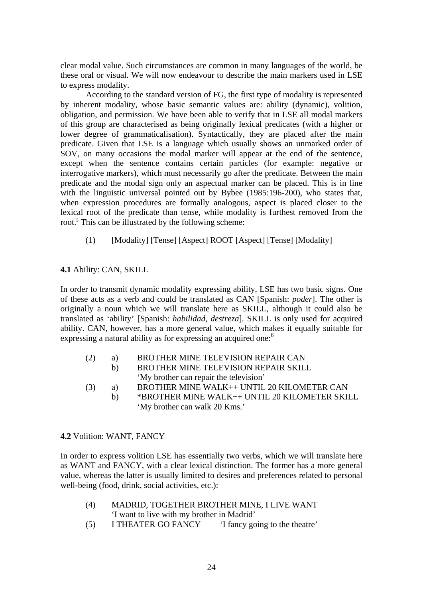clear modal value. Such circumstances are common in many languages of the world, be these oral or visual. We will now endeavour to describe the main markers used in LSE to express modality.

 According to the standard version of FG, the first type of modality is represented by inherent modality, whose basic semantic values are: ability (dynamic), volition, obligation, and permission. We have been able to verify that in LSE all modal markers of this group are characterised as being originally lexical predicates (with a higher or lower degree of grammaticalisation). Syntactically, they are placed after the main predicate. Given that LSE is a language which usually shows an unmarked order of SOV, on many occasions the modal marker will appear at the end of the sentence, except when the sentence contains certain particles (for example: negative or interrogative markers), which must necessarily go after the predicate. Between the main predicate and the modal sign only an aspectual marker can be placed. This is in line with the linguistic universal pointed out by Bybee (1985:196-200), who states that, when expression procedures are formally analogous, aspect is placed closer to the lexical root of the predicate than tense, while modality is furthest removed from the root.<sup>5</sup> This can be illustrated by the following scheme:

(1) [Modality] [Tense] [Aspect] ROOT [Aspect] [Tense] [Modality]

**4.1** Ability: CAN, SKILL

In order to transmit dynamic modality expressing ability, LSE has two basic signs. One of these acts as a verb and could be translated as CAN [Spanish: *poder*]. The other is originally a noun which we will translate here as SKILL, although it could also be translated as 'ability' [Spanish: *habilidad*, *destreza*]. SKILL is only used for acquired ability. CAN, however, has a more general value, which makes it equally suitable for expressing a natural ability as for expressing an acquired one:<sup>6</sup>

- (2) a) BROTHER MINE TELEVISION REPAIR CAN
	- b) BROTHER MINE TELEVISION REPAIR SKILL 'My brother can repair the television'
- (3) a) BROTHER MINE WALK++ UNTIL 20 KILOMETER CAN
	- b) \*BROTHER MINE WALK++ UNTIL 20 KILOMETER SKILL 'My brother can walk 20 Kms.'

## **4.2** Volition: WANT, FANCY

In order to express volition LSE has essentially two verbs, which we will translate here as WANT and FANCY, with a clear lexical distinction. The former has a more general value, whereas the latter is usually limited to desires and preferences related to personal well-being (food, drink, social activities, etc.):

- (4) MADRID, TOGETHER BROTHER MINE, I LIVE WANT 'I want to live with my brother in Madrid'
- (5) I THEATER GO FANCY 'I fancy going to the theatre'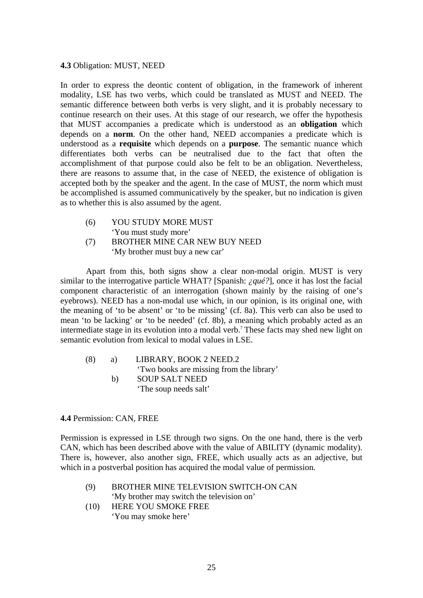#### **4.3** Obligation: MUST, NEED

In order to express the deontic content of obligation, in the framework of inherent modality, LSE has two verbs, which could be translated as MUST and NEED. The semantic difference between both verbs is very slight, and it is probably necessary to continue research on their uses. At this stage of our research, we offer the hypothesis that MUST accompanies a predicate which is understood as an **obligation** which depends on a **norm**. On the other hand, NEED accompanies a predicate which is understood as a **requisite** which depends on a **purpose**. The semantic nuance which differentiates both verbs can be neutralised due to the fact that often the accomplishment of that purpose could also be felt to be an obligation. Nevertheless, there are reasons to assume that, in the case of NEED, the existence of obligation is accepted both by the speaker and the agent. In the case of MUST, the norm which must be accomplished is assumed communicatively by the speaker, but no indication is given as to whether this is also assumed by the agent.

- (6) YOU STUDY MORE MUST 'You must study more'
- (7) BROTHER MINE CAR NEW BUY NEED 'My brother must buy a new car'

 Apart from this, both signs show a clear non-modal origin. MUST is very similar to the interrogative particle WHAT? [Spanish: *¿qué?*], once it has lost the facial component characteristic of an interrogation (shown mainly by the raising of one's eyebrows). NEED has a non-modal use which, in our opinion, is its original one, with the meaning of 'to be absent' or 'to be missing' (cf. 8a). This verb can also be used to mean 'to be lacking' or 'to be needed' (cf. 8b), a meaning which probably acted as an intermediate stage in its evolution into a modal verb.<sup>7</sup> These facts may shed new light on semantic evolution from lexical to modal values in LSE.

| (8) | a) | LIBRARY, BOOK 2 NEED.2                   |
|-----|----|------------------------------------------|
|     |    | 'Two books are missing from the library' |
|     | b) | <b>SOUP SALT NEED</b>                    |
|     |    | 'The soup needs salt'                    |

**4.4** Permission: CAN, FREE

Permission is expressed in LSE through two signs. On the one hand, there is the verb CAN, which has been described above with the value of ABILITY (dynamic modality). There is, however, also another sign, FREE, which usually acts as an adjective, but which in a postverbal position has acquired the modal value of permission.

- (9) BROTHER MINE TELEVISION SWITCH-ON CAN 'My brother may switch the television on'
- (10) HERE YOU SMOKE FREE 'You may smoke here'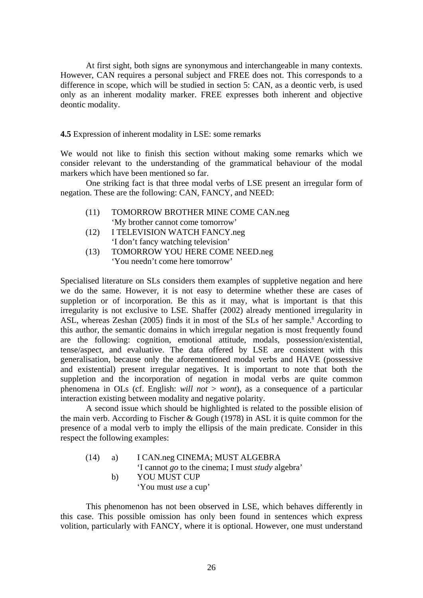At first sight, both signs are synonymous and interchangeable in many contexts. However, CAN requires a personal subject and FREE does not. This corresponds to a difference in scope, which will be studied in section 5: CAN, as a deontic verb, is used only as an inherent modality marker. FREE expresses both inherent and objective deontic modality.

## **4.5** Expression of inherent modality in LSE: some remarks

We would not like to finish this section without making some remarks which we consider relevant to the understanding of the grammatical behaviour of the modal markers which have been mentioned so far.

 One striking fact is that three modal verbs of LSE present an irregular form of negation. These are the following: CAN, FANCY, and NEED:

- (11) TOMORROW BROTHER MINE COME CAN.neg 'My brother cannot come tomorrow'
- (12) I TELEVISION WATCH FANCY.neg 'I don't fancy watching television'
- (13) TOMORROW YOU HERE COME NEED.neg 'You needn't come here tomorrow'

Specialised literature on SLs considers them examples of suppletive negation and here we do the same. However, it is not easy to determine whether these are cases of suppletion or of incorporation. Be this as it may, what is important is that this irregularity is not exclusive to LSE. Shaffer (2002) already mentioned irregularity in ASL, whereas Zeshan (2005) finds it in most of the SLs of her sample.<sup>8</sup> According to this author, the semantic domains in which irregular negation is most frequently found are the following: cognition, emotional attitude, modals, possession/existential, tense/aspect, and evaluative. The data offered by LSE are consistent with this generalisation, because only the aforementioned modal verbs and HAVE (possessive and existential) present irregular negatives. It is important to note that both the suppletion and the incorporation of negation in modal verbs are quite common phenomena in OLs (cf. English: *will not* > *wont*), as a consequence of a particular interaction existing between modality and negative polarity.

 A second issue which should be highlighted is related to the possible elision of the main verb. According to Fischer & Gough (1978) in ASL it is quite common for the presence of a modal verb to imply the ellipsis of the main predicate. Consider in this respect the following examples:

| (14) | a) | I CAN.neg CINEMA; MUST ALGEBRA                           |
|------|----|----------------------------------------------------------|
|      |    | 'I cannot go to the cinema; I must <i>study</i> algebra' |
|      | b) | YOU MUST CUP                                             |
|      |    | 'You must <i>use</i> a cup'                              |

 This phenomenon has not been observed in LSE, which behaves differently in this case. This possible omission has only been found in sentences which express volition, particularly with FANCY, where it is optional. However, one must understand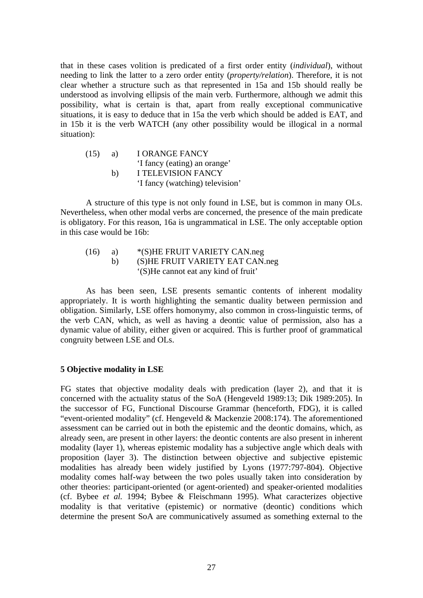that in these cases volition is predicated of a first order entity (*individual*), without needing to link the latter to a zero order entity (*property/relation*). Therefore, it is not clear whether a structure such as that represented in 15a and 15b should really be understood as involving ellipsis of the main verb. Furthermore, although we admit this possibility, what is certain is that, apart from really exceptional communicative situations, it is easy to deduce that in 15a the verb which should be added is EAT, and in 15b it is the verb WATCH (any other possibility would be illogical in a normal situation):

| (15) | a) | <b>I ORANGE FANCY</b>           |
|------|----|---------------------------------|
|      |    | 'I fancy (eating) an orange'    |
|      | b) | <b>I TELEVISION FANCY</b>       |
|      |    | 'I fancy (watching) television' |

 A structure of this type is not only found in LSE, but is common in many OLs. Nevertheless, when other modal verbs are concerned, the presence of the main predicate is obligatory. For this reason, 16a is ungrammatical in LSE. The only acceptable option in this case would be 16b:

(16) a) \*(S)HE FRUIT VARIETY CAN.neg b) (S)HE FRUIT VARIETY EAT CAN.neg '(S)He cannot eat any kind of fruit'

 As has been seen, LSE presents semantic contents of inherent modality appropriately. It is worth highlighting the semantic duality between permission and obligation. Similarly, LSE offers homonymy, also common in cross-linguistic terms, of the verb CAN, which, as well as having a deontic value of permission, also has a dynamic value of ability, either given or acquired. This is further proof of grammatical congruity between LSE and OLs.

## **5 Objective modality in LSE**

FG states that objective modality deals with predication (layer 2), and that it is concerned with the actuality status of the SoA (Hengeveld 1989:13; Dik 1989:205). In the successor of FG, Functional Discourse Grammar (henceforth, FDG), it is called "event-oriented modality" (cf. Hengeveld & Mackenzie 2008:174). The aforementioned assessment can be carried out in both the epistemic and the deontic domains, which, as already seen, are present in other layers: the deontic contents are also present in inherent modality (layer 1), whereas epistemic modality has a subjective angle which deals with proposition (layer 3). The distinction between objective and subjective epistemic modalities has already been widely justified by Lyons (1977:797-804). Objective modality comes half-way between the two poles usually taken into consideration by other theories: participant-oriented (or agent-oriented) and speaker-oriented modalities (cf. Bybee *et al.* 1994; Bybee & Fleischmann 1995). What caracterizes objective modality is that veritative (epistemic) or normative (deontic) conditions which determine the present SoA are communicatively assumed as something external to the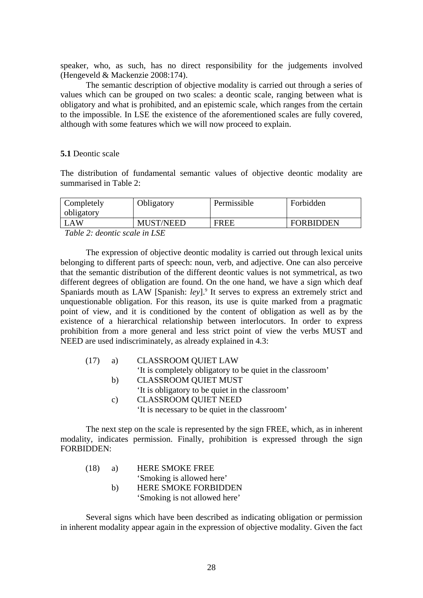speaker, who, as such, has no direct responsibility for the judgements involved (Hengeveld & Mackenzie 2008:174).

 The semantic description of objective modality is carried out through a series of values which can be grouped on two scales: a deontic scale, ranging between what is obligatory and what is prohibited, and an epistemic scale, which ranges from the certain to the impossible. In LSE the existence of the aforementioned scales are fully covered, although with some features which we will now proceed to explain.

#### **5.1** Deontic scale

The distribution of fundamental semantic values of objective deontic modality are summarised in Table 2:

| Completely<br>obligatory | Obligatory       | Permissible | Forbidden        |
|--------------------------|------------------|-------------|------------------|
| LAW                      | <b>MUST/NEED</b> | <b>FREE</b> | <b>FORBIDDEN</b> |
| T1121                    |                  |             |                  |

*Table 2: deontic scale in LSE* 

 The expression of objective deontic modality is carried out through lexical units belonging to different parts of speech: noun, verb, and adjective. One can also perceive that the semantic distribution of the different deontic values is not symmetrical, as two different degrees of obligation are found. On the one hand, we have a sign which deaf Spaniards mouth as LAW [Spanish: *ley*].<sup>9</sup> It serves to express an extremely strict and unquestionable obligation. For this reason, its use is quite marked from a pragmatic point of view, and it is conditioned by the content of obligation as well as by the existence of a hierarchical relationship between interlocutors. In order to express prohibition from a more general and less strict point of view the verbs MUST and NEED are used indiscriminately, as already explained in 4.3:

| a) | <b>CLASSROOM QUIET LAW</b>                                 |
|----|------------------------------------------------------------|
|    | 'It is completely obligatory to be quiet in the classroom' |
| b) | <b>CLASSROOM QUIET MUST</b>                                |
|    | 'It is obligatory to be quiet in the classroom'            |
| C) | <b>CLASSROOM QUIET NEED</b>                                |
|    | It is necessary to be quiet in the classroom'              |
|    |                                                            |

 The next step on the scale is represented by the sign FREE, which, as in inherent modality, indicates permission. Finally, prohibition is expressed through the sign FORBIDDEN:

| (18) | a) | HERE SMOKE FREE               |
|------|----|-------------------------------|
|      |    | 'Smoking is allowed here'     |
|      | b) | <b>HERE SMOKE FORBIDDEN</b>   |
|      |    | 'Smoking is not allowed here' |

 Several signs which have been described as indicating obligation or permission in inherent modality appear again in the expression of objective modality. Given the fact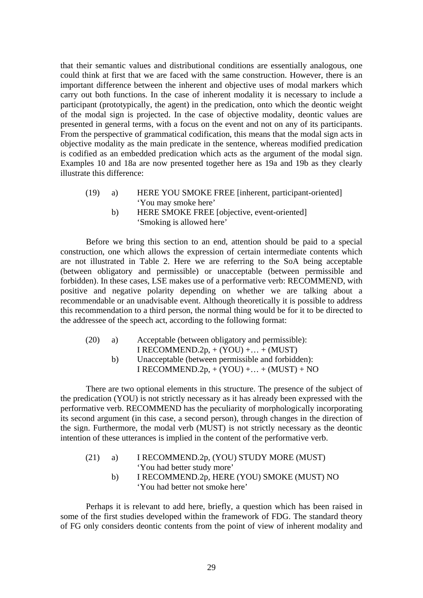that their semantic values and distributional conditions are essentially analogous, one could think at first that we are faced with the same construction. However, there is an important difference between the inherent and objective uses of modal markers which carry out both functions. In the case of inherent modality it is necessary to include a participant (prototypically, the agent) in the predication, onto which the deontic weight of the modal sign is projected. In the case of objective modality, deontic values are presented in general terms, with a focus on the event and not on any of its participants. From the perspective of grammatical codification, this means that the modal sign acts in objective modality as the main predicate in the sentence, whereas modified predication is codified as an embedded predication which acts as the argument of the modal sign. Examples 10 and 18a are now presented together here as 19a and 19b as they clearly illustrate this difference:

- (19) a) HERE YOU SMOKE FREE [inherent, participant-oriented] 'You may smoke here'
	- b) HERE SMOKE FREE [objective, event-oriented] 'Smoking is allowed here'

 Before we bring this section to an end, attention should be paid to a special construction, one which allows the expression of certain intermediate contents which are not illustrated in Table 2. Here we are referring to the SoA being acceptable (between obligatory and permissible) or unacceptable (between permissible and forbidden). In these cases, LSE makes use of a performative verb: RECOMMEND, with positive and negative polarity depending on whether we are talking about a recommendable or an unadvisable event. Although theoretically it is possible to address this recommendation to a third person, the normal thing would be for it to be directed to the addressee of the speech act, according to the following format:

- (20) a) Acceptable (between obligatory and permissible): I RECOMMEND.2p,  $+(YOU) + ... + (MUST)$  b) Unacceptable (between permissible and forbidden):
	- I RECOMMEND.2p,  $+(YOU) + ... + (MUST) + NO$

 There are two optional elements in this structure. The presence of the subject of the predication (YOU) is not strictly necessary as it has already been expressed with the performative verb. RECOMMEND has the peculiarity of morphologically incorporating its second argument (in this case, a second person), through changes in the direction of the sign. Furthermore, the modal verb (MUST) is not strictly necessary as the deontic intention of these utterances is implied in the content of the performative verb.

| (21) | a) | I RECOMMEND.2p, (YOU) STUDY MORE (MUST)    |
|------|----|--------------------------------------------|
|      |    | 'You had better study more'                |
|      | b) | I RECOMMEND.2p, HERE (YOU) SMOKE (MUST) NO |
|      |    | 'You had better not smoke here'            |

 Perhaps it is relevant to add here, briefly, a question which has been raised in some of the first studies developed within the framework of FDG. The standard theory of FG only considers deontic contents from the point of view of inherent modality and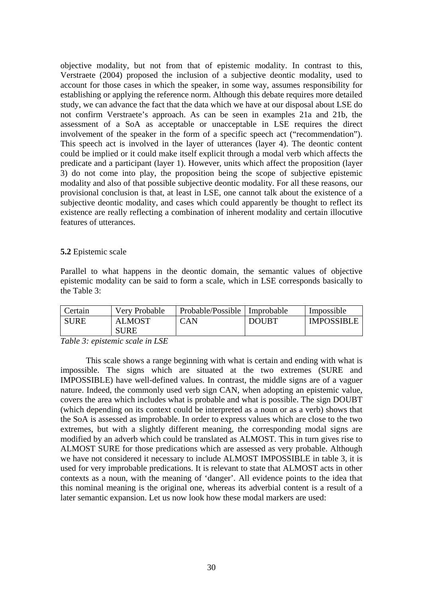objective modality, but not from that of epistemic modality. In contrast to this, Verstraete (2004) proposed the inclusion of a subjective deontic modality, used to account for those cases in which the speaker, in some way, assumes responsibility for establishing or applying the reference norm. Although this debate requires more detailed study, we can advance the fact that the data which we have at our disposal about LSE do not confirm Verstraete's approach. As can be seen in examples 21a and 21b, the assessment of a SoA as acceptable or unacceptable in LSE requires the direct involvement of the speaker in the form of a specific speech act ("recommendation"). This speech act is involved in the layer of utterances (layer 4). The deontic content could be implied or it could make itself explicit through a modal verb which affects the predicate and a participant (layer 1). However, units which affect the proposition (layer 3) do not come into play, the proposition being the scope of subjective epistemic modality and also of that possible subjective deontic modality. For all these reasons, our provisional conclusion is that, at least in LSE, one cannot talk about the existence of a subjective deontic modality, and cases which could apparently be thought to reflect its existence are really reflecting a combination of inherent modality and certain illocutive features of utterances.

## **5.2** Epistemic scale

Parallel to what happens in the deontic domain, the semantic values of objective epistemic modality can be said to form a scale, which in LSE corresponds basically to the Table 3:

| Certain     | Very Probable | Probable/Possible | Improbable   | Impossible        |
|-------------|---------------|-------------------|--------------|-------------------|
| <b>SURE</b> | <b>ALMOST</b> | <b>CAN</b>        | <b>DOUBT</b> | <b>IMPOSSIBLE</b> |
|             | <b>SURE</b>   |                   |              |                   |

*Table 3: epistemic scale in LSE* 

 This scale shows a range beginning with what is certain and ending with what is impossible. The signs which are situated at the two extremes (SURE and IMPOSSIBLE) have well-defined values. In contrast, the middle signs are of a vaguer nature. Indeed, the commonly used verb sign CAN, when adopting an epistemic value, covers the area which includes what is probable and what is possible. The sign DOUBT (which depending on its context could be interpreted as a noun or as a verb) shows that the SoA is assessed as improbable. In order to express values which are close to the two extremes, but with a slightly different meaning, the corresponding modal signs are modified by an adverb which could be translated as ALMOST. This in turn gives rise to ALMOST SURE for those predications which are assessed as very probable. Although we have not considered it necessary to include ALMOST IMPOSSIBLE in table 3, it is used for very improbable predications. It is relevant to state that ALMOST acts in other contexts as a noun, with the meaning of 'danger'. All evidence points to the idea that this nominal meaning is the original one, whereas its adverbial content is a result of a later semantic expansion. Let us now look how these modal markers are used: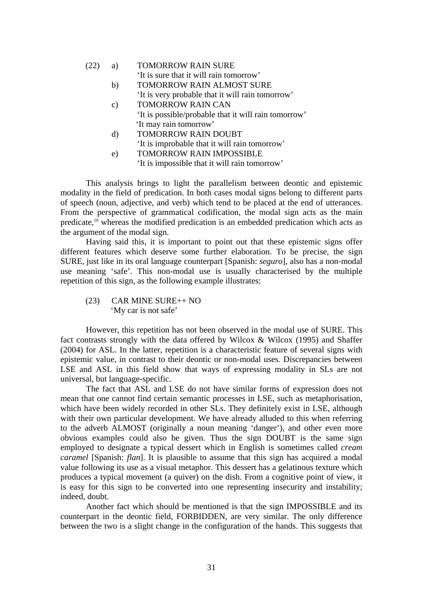| (22) | a)              | <b>TOMORROW RAIN SURE</b>                            |
|------|-----------------|------------------------------------------------------|
|      |                 | 'It is sure that it will rain tomorrow'              |
|      | b)              | TOMORROW RAIN ALMOST SURE                            |
|      |                 | 'It is very probable that it will rain tomorrow'     |
|      | $\mathcal{C}$ ) | TOMORROW RAIN CAN                                    |
|      |                 | 'It is possible/probable that it will rain tomorrow' |
|      |                 | 'It may rain tomorrow'                               |
|      | d)              | <b>TOMORROW RAIN DOUBT</b>                           |
|      |                 | 'It is improbable that it will rain tomorrow'        |
|      | e               | TOMORROW RAIN IMPOSSIBLE                             |

'It is impossible that it will rain tomorrow'

 This analysis brings to light the parallelism between deontic and epistemic modality in the field of predication. In both cases modal signs belong to different parts of speech (noun, adjective, and verb) which tend to be placed at the end of utterances. From the perspective of grammatical codification, the modal sign acts as the main predicate,<sup>10</sup> whereas the modified predication is an embedded predication which acts as the argument of the modal sign.

 Having said this, it is important to point out that these epistemic signs offer different features which deserve some further elaboration. To be precise, the sign SURE, just like in its oral language counterpart [Spanish: *seguro*], also has a non-modal use meaning 'safe'. This non-modal use is usually characterised by the multiple repetition of this sign, as the following example illustrates:

(23) CAR MINE SURE++ NO 'My car is not safe'

 However, this repetition has not been observed in the modal use of SURE. This fact contrasts strongly with the data offered by Wilcox  $\&$  Wilcox (1995) and Shaffer (2004) for ASL. In the latter, repetition is a characteristic feature of several signs with epistemic value, in contrast to their deontic or non-modal uses. Discrepancies between LSE and ASL in this field show that ways of expressing modality in SLs are not universal, but language-specific.

 The fact that ASL and LSE do not have similar forms of expression does not mean that one cannot find certain semantic processes in LSE, such as metaphorisation, which have been widely recorded in other SLs. They definitely exist in LSE, although with their own particular development. We have already alluded to this when referring to the adverb ALMOST (originally a noun meaning 'danger'), and other even more obvious examples could also be given. Thus the sign DOUBT is the same sign employed to designate a typical dessert which in English is sometimes called *cream caramel* [Spanish: *flan*]. It is plausible to assume that this sign has acquired a modal value following its use as a visual metaphor. This dessert has a gelatinous texture which produces a typical movement (a quiver) on the dish. From a cognitive point of view, it is easy for this sign to be converted into one representing insecurity and instability; indeed, doubt.

 Another fact which should be mentioned is that the sign IMPOSSIBLE and its counterpart in the deontic field, FORBIDDEN, are very similar. The only difference between the two is a slight change in the configuration of the hands. This suggests that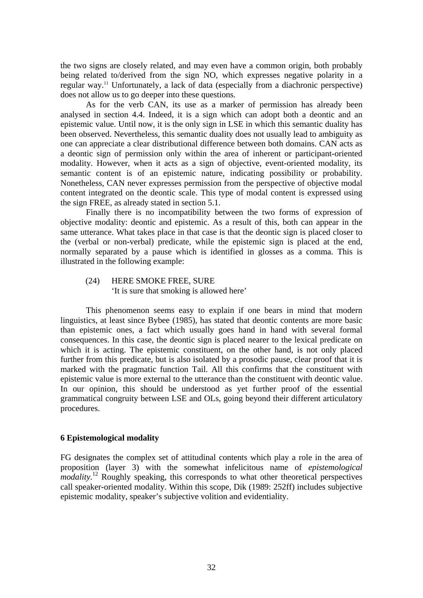the two signs are closely related, and may even have a common origin, both probably being related to/derived from the sign NO, which expresses negative polarity in a regular way.11 Unfortunately, a lack of data (especially from a diachronic perspective) does not allow us to go deeper into these questions.

 As for the verb CAN, its use as a marker of permission has already been analysed in section 4.4. Indeed, it is a sign which can adopt both a deontic and an epistemic value. Until now, it is the only sign in LSE in which this semantic duality has been observed. Nevertheless, this semantic duality does not usually lead to ambiguity as one can appreciate a clear distributional difference between both domains. CAN acts as a deontic sign of permission only within the area of inherent or participant-oriented modality. However, when it acts as a sign of objective, event-oriented modality, its semantic content is of an epistemic nature, indicating possibility or probability. Nonetheless, CAN never expresses permission from the perspective of objective modal content integrated on the deontic scale. This type of modal content is expressed using the sign FREE, as already stated in section 5.1.

 Finally there is no incompatibility between the two forms of expression of objective modality: deontic and epistemic. As a result of this, both can appear in the same utterance. What takes place in that case is that the deontic sign is placed closer to the (verbal or non-verbal) predicate, while the epistemic sign is placed at the end, normally separated by a pause which is identified in glosses as a comma. This is illustrated in the following example:

## (24) HERE SMOKE FREE, SURE 'It is sure that smoking is allowed here'

 This phenomenon seems easy to explain if one bears in mind that modern linguistics, at least since Bybee (1985), has stated that deontic contents are more basic than epistemic ones, a fact which usually goes hand in hand with several formal consequences. In this case, the deontic sign is placed nearer to the lexical predicate on which it is acting. The epistemic constituent, on the other hand, is not only placed further from this predicate, but is also isolated by a prosodic pause, clear proof that it is marked with the pragmatic function Tail. All this confirms that the constituent with epistemic value is more external to the utterance than the constituent with deontic value. In our opinion, this should be understood as yet further proof of the essential grammatical congruity between LSE and OLs, going beyond their different articulatory procedures.

## **6 Epistemological modality**

FG designates the complex set of attitudinal contents which play a role in the area of proposition (layer 3) with the somewhat infelicitous name of *epistemological modality*.<sup>12</sup> Roughly speaking, this corresponds to what other theoretical perspectives call speaker-oriented modality. Within this scope, Dik (1989: 252ff) includes subjective epistemic modality, speaker's subjective volition and evidentiality.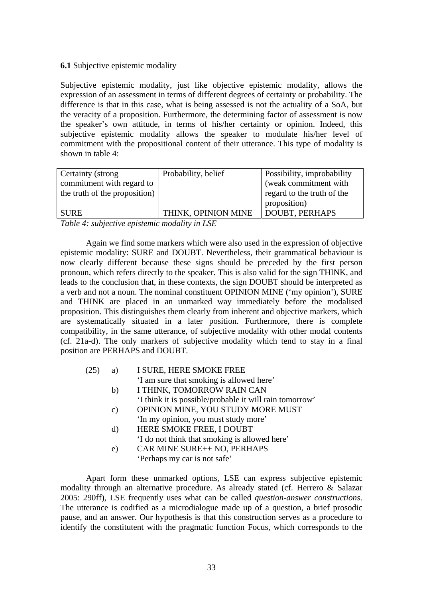## **6.1** Subjective epistemic modality

Subjective epistemic modality, just like objective epistemic modality, allows the expression of an assessment in terms of different degrees of certainty or probability. The difference is that in this case, what is being assessed is not the actuality of a SoA, but the veracity of a proposition. Furthermore, the determining factor of assessment is now the speaker's own attitude, in terms of his/her certainty or opinion. Indeed, this subjective epistemic modality allows the speaker to modulate his/her level of commitment with the propositional content of their utterance. This type of modality is shown in table 4:

| Certainty (strong)            | Probability, belief | Possibility, improbability |
|-------------------------------|---------------------|----------------------------|
| commitment with regard to     |                     | (weak commitment with      |
| the truth of the proposition) |                     | regard to the truth of the |
|                               |                     | proposition)               |
| <b>SURE</b>                   | THINK, OPINION MINE | <b>DOUBT, PERHAPS</b>      |
|                               |                     |                            |

*Table 4: subjective epistemic modality in LSE* 

 Again we find some markers which were also used in the expression of objective epistemic modality: SURE and DOUBT. Nevertheless, their grammatical behaviour is now clearly different because these signs should be preceded by the first person pronoun, which refers directly to the speaker. This is also valid for the sign THINK, and leads to the conclusion that, in these contexts, the sign DOUBT should be interpreted as a verb and not a noun. The nominal constituent OPINION MINE ('my opinion'), SURE and THINK are placed in an unmarked way immediately before the modalised proposition. This distinguishes them clearly from inherent and objective markers, which are systematically situated in a later position. Furthermore, there is complete compatibility, in the same utterance, of subjective modality with other modal contents (cf. 21a-d). The only markers of subjective modality which tend to stay in a final position are PERHAPS and DOUBT.

| (25) | a) | I SURE, HERE SMOKE FREE                                 |
|------|----|---------------------------------------------------------|
|      |    | 'I am sure that smoking is allowed here'                |
|      | b) | I THINK, TOMORROW RAIN CAN                              |
|      |    | 'I think it is possible/probable it will rain tomorrow' |
|      | C) | OPINION MINE, YOU STUDY MORE MUST                       |
|      |    | 'In my opinion, you must study more'                    |
|      | d) | HERE SMOKE FREE, I DOUBT                                |
|      |    | 'I do not think that smoking is allowed here'           |
|      | e) | CAR MINE SURE++ NO, PERHAPS                             |
|      |    | 'Perhaps my car is not safe'                            |

 Apart form these unmarked options, LSE can express subjective epistemic modality through an alternative procedure. As already stated (cf. Herrero & Salazar 2005: 290ff), LSE frequently uses what can be called *question-answer constructions*. The utterance is codified as a microdialogue made up of a question, a brief prosodic pause, and an answer. Our hypothesis is that this construction serves as a procedure to identify the constitutent with the pragmatic function Focus, which corresponds to the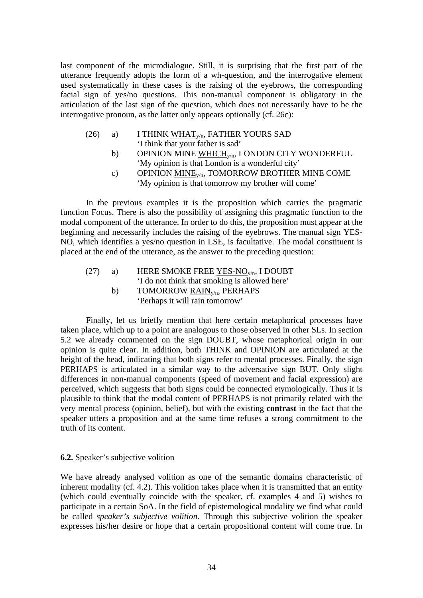last component of the microdialogue. Still, it is surprising that the first part of the utterance frequently adopts the form of a wh-question, and the interrogative element used systematically in these cases is the raising of the eyebrows, the corresponding facial sign of yes/no questions. This non-manual component is obligatory in the articulation of the last sign of the question, which does not necessarily have to be the interrogative pronoun, as the latter only appears optionally (cf. 26c):

# (26) a) I THINK  $\overline{WHAT}_{y/n}$ , FATHER YOURS SAD 'I think that your father is sad'

- b) OPINION MINE WHICH<sub>V/n</sub>, LONDON CITY WONDERFUL 'My opinion is that London is a wonderful city'
- c) OPINION  $\underline{MINE}_{y/n}$ , TOMORROW BROTHER MINE COME 'My opinion is that tomorrow my brother will come'

 In the previous examples it is the proposition which carries the pragmatic function Focus. There is also the possibility of assigning this pragmatic function to the modal component of the utterance. In order to do this, the proposition must appear at the beginning and necessarily includes the raising of the eyebrows. The manual sign YES-NO, which identifies a yes/no question in LSE, is facultative. The modal constituent is placed at the end of the utterance, as the answer to the preceding question:

## (27) a) HERE SMOKE FREE YES-NO<sub>V/n</sub>, I DOUBT 'I do not think that smoking is allowed here' b) TOMORROW  $RAIN_{V/n}$ , PERHAPS 'Perhaps it will rain tomorrow'

 Finally, let us briefly mention that here certain metaphorical processes have taken place, which up to a point are analogous to those observed in other SLs. In section 5.2 we already commented on the sign DOUBT, whose metaphorical origin in our opinion is quite clear. In addition, both THINK and OPINION are articulated at the height of the head, indicating that both signs refer to mental processes. Finally, the sign PERHAPS is articulated in a similar way to the adversative sign BUT. Only slight differences in non-manual components (speed of movement and facial expression) are perceived, which suggests that both signs could be connected etymologically. Thus it is plausible to think that the modal content of PERHAPS is not primarily related with the very mental process (opinion, belief), but with the existing **contrast** in the fact that the speaker utters a proposition and at the same time refuses a strong commitment to the truth of its content.

# **6.2.** Speaker's subjective volition

We have already analysed volition as one of the semantic domains characteristic of inherent modality (cf. 4.2). This volition takes place when it is transmitted that an entity (which could eventually coincide with the speaker, cf. examples 4 and 5) wishes to participate in a certain SoA. In the field of epistemological modality we find what could be called *speaker's subjective volition*. Through this subjective volition the speaker expresses his/her desire or hope that a certain propositional content will come true. In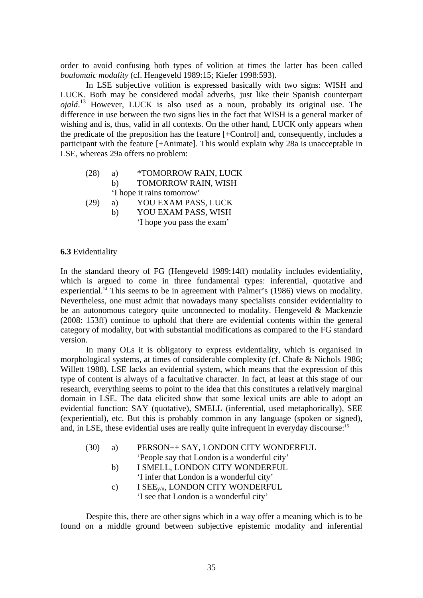order to avoid confusing both types of volition at times the latter has been called *boulomaic modality* (cf. Hengeveld 1989:15; Kiefer 1998:593).

 In LSE subjective volition is expressed basically with two signs: WISH and LUCK. Both may be considered modal adverbs, just like their Spanish counterpart *ojalá*. 13 However, LUCK is also used as a noun, probably its original use. The difference in use between the two signs lies in the fact that WISH is a general marker of wishing and is, thus, valid in all contexts. On the other hand, LUCK only appears when the predicate of the preposition has the feature [+Control] and, consequently, includes a participant with the feature [+Animate]. This would explain why 28a is unacceptable in LSE, whereas 29a offers no problem:

| (28) | a) | *TOMORROW RAIN, LUCK       |
|------|----|----------------------------|
|      | b) | TOMORROW RAIN, WISH        |
|      |    | 'I hope it rains tomorrow' |
| (29) | a) | YOU EXAM PASS, LUCK        |
|      | b) | YOU EXAM PASS, WISH        |
|      |    | 'I hope you pass the exam' |

#### **6.3** Evidentiality

In the standard theory of FG (Hengeveld 1989:14ff) modality includes evidentiality, which is argued to come in three fundamental types: inferential, quotative and experiential.<sup>14</sup> This seems to be in agreement with Palmer's (1986) views on modality. Nevertheless, one must admit that nowadays many specialists consider evidentiality to be an autonomous category quite unconnected to modality. Hengeveld & Mackenzie (2008: 153ff) continue to uphold that there are evidential contents within the general category of modality, but with substantial modifications as compared to the FG standard version.

 In many OLs it is obligatory to express evidentiality, which is organised in morphological systems, at times of considerable complexity (cf. Chafe & Nichols 1986; Willett 1988). LSE lacks an evidential system, which means that the expression of this type of content is always of a facultative character. In fact, at least at this stage of our research, everything seems to point to the idea that this constitutes a relatively marginal domain in LSE. The data elicited show that some lexical units are able to adopt an evidential function: SAY (quotative), SMELL (inferential, used metaphorically), SEE (experiential), etc. But this is probably common in any language (spoken or signed), and, in LSE, these evidential uses are really quite infrequent in everyday discourse:<sup>15</sup>

| (30) | a) | PERSON++ SAY, LONDON CITY WONDERFUL          |
|------|----|----------------------------------------------|
|      |    | 'People say that London is a wonderful city' |
|      | b) | I SMELL, LONDON CITY WONDERFUL               |
|      |    | 'I infer that London is a wonderful city'    |
|      | C) | I SEE <sub>V/n</sub> , LONDON CITY WONDERFUL |
|      |    | 'I see that London is a wonderful city'      |

 Despite this, there are other signs which in a way offer a meaning which is to be found on a middle ground between subjective epistemic modality and inferential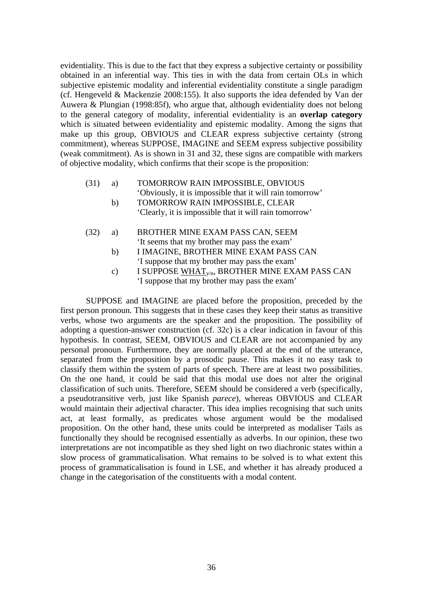evidentiality. This is due to the fact that they express a subjective certainty or possibility obtained in an inferential way. This ties in with the data from certain OLs in which subjective epistemic modality and inferential evidentiality constitute a single paradigm (cf. Hengeveld & Mackenzie 2008:155). It also supports the idea defended by Van der Auwera & Plungian (1998:85f), who argue that, although evidentiality does not belong to the general category of modality, inferential evidentiality is an **overlap category** which is situated between evidentiality and epistemic modality. Among the signs that make up this group, OBVIOUS and CLEAR express subjective certainty (strong commitment), whereas SUPPOSE, IMAGINE and SEEM express subjective possibility (weak commitment). As is shown in 31 and 32, these signs are compatible with markers of objective modality, which confirms that their scope is the proposition:

- (31) a) TOMORROW RAIN IMPOSSIBLE, OBVIOUS 'Obviously, it is impossible that it will rain tomorrow' b) TOMORROW RAIN IMPOSSIBLE, CLEAR
	- 'Clearly, it is impossible that it will rain tomorrow'
- (32) a) BROTHER MINE EXAM PASS CAN, SEEM 'It seems that my brother may pass the exam'
	- b) I IMAGINE, BROTHER MINE EXAM PASS CAN 'I suppose that my brother may pass the exam'
	- c) I SUPPOSE WHAT $_{V/n}$ , BROTHER MINE EXAM PASS CAN 'I suppose that my brother may pass the exam'

 SUPPOSE and IMAGINE are placed before the proposition, preceded by the first person pronoun. This suggests that in these cases they keep their status as transitive verbs, whose two arguments are the speaker and the proposition. The possibility of adopting a question-answer construction (cf. 32c) is a clear indication in favour of this hypothesis. In contrast, SEEM, OBVIOUS and CLEAR are not accompanied by any personal pronoun. Furthermore, they are normally placed at the end of the utterance, separated from the proposition by a prosodic pause. This makes it no easy task to classify them within the system of parts of speech. There are at least two possibilities. On the one hand, it could be said that this modal use does not alter the original classification of such units. Therefore, SEEM should be considered a verb (specifically, a pseudotransitive verb, just like Spanish *parece*), whereas OBVIOUS and CLEAR would maintain their adjectival character. This idea implies recognising that such units act, at least formally, as predicates whose argument would be the modalised proposition. On the other hand, these units could be interpreted as modaliser Tails as functionally they should be recognised essentially as adverbs. In our opinion, these two interpretations are not incompatible as they shed light on two diachronic states within a slow process of grammaticalisation. What remains to be solved is to what extent this process of grammaticalisation is found in LSE, and whether it has already produced a change in the categorisation of the constituents with a modal content.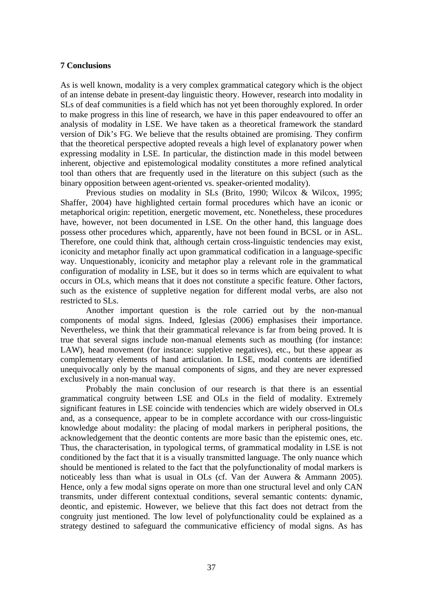#### **7 Conclusions**

As is well known, modality is a very complex grammatical category which is the object of an intense debate in present-day linguistic theory. However, research into modality in SLs of deaf communities is a field which has not yet been thoroughly explored. In order to make progress in this line of research, we have in this paper endeavoured to offer an analysis of modality in LSE. We have taken as a theoretical framework the standard version of Dik's FG. We believe that the results obtained are promising. They confirm that the theoretical perspective adopted reveals a high level of explanatory power when expressing modality in LSE. In particular, the distinction made in this model between inherent, objective and epistemological modality constitutes a more refined analytical tool than others that are frequently used in the literature on this subject (such as the binary opposition between agent-oriented vs. speaker-oriented modality).

 Previous studies on modality in SLs (Brito, 1990; Wilcox & Wilcox, 1995; Shaffer, 2004) have highlighted certain formal procedures which have an iconic or metaphorical origin: repetition, energetic movement, etc. Nonetheless, these procedures have, however, not been documented in LSE. On the other hand, this language does possess other procedures which, apparently, have not been found in BCSL or in ASL. Therefore, one could think that, although certain cross-linguistic tendencies may exist, iconicity and metaphor finally act upon grammatical codification in a language-specific way. Unquestionably, iconicity and metaphor play a relevant role in the grammatical configuration of modality in LSE, but it does so in terms which are equivalent to what occurs in OLs, which means that it does not constitute a specific feature. Other factors, such as the existence of suppletive negation for different modal verbs, are also not restricted to SLs.

 Another important question is the role carried out by the non-manual components of modal signs. Indeed, Iglesias (2006) emphasises their importance. Nevertheless, we think that their grammatical relevance is far from being proved. It is true that several signs include non-manual elements such as mouthing (for instance: LAW), head movement (for instance: suppletive negatives), etc., but these appear as complementary elements of hand articulation. In LSE, modal contents are identified unequivocally only by the manual components of signs, and they are never expressed exclusively in a non-manual way.

 Probably the main conclusion of our research is that there is an essential grammatical congruity between LSE and OLs in the field of modality. Extremely significant features in LSE coincide with tendencies which are widely observed in OLs and, as a consequence, appear to be in complete accordance with our cross-linguistic knowledge about modality: the placing of modal markers in peripheral positions, the acknowledgement that the deontic contents are more basic than the epistemic ones, etc. Thus, the characterisation, in typological terms, of grammatical modality in LSE is not conditioned by the fact that it is a visually transmitted language. The only nuance which should be mentioned is related to the fact that the polyfunctionality of modal markers is noticeably less than what is usual in OLs (cf. Van der Auwera & Ammann 2005). Hence, only a few modal signs operate on more than one structural level and only CAN transmits, under different contextual conditions, several semantic contents: dynamic, deontic, and epistemic. However, we believe that this fact does not detract from the congruity just mentioned. The low level of polyfunctionality could be explained as a strategy destined to safeguard the communicative efficiency of modal signs. As has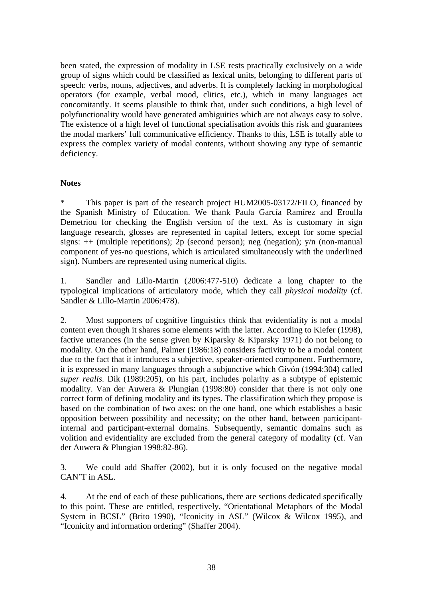been stated, the expression of modality in LSE rests practically exclusively on a wide group of signs which could be classified as lexical units, belonging to different parts of speech: verbs, nouns, adjectives, and adverbs. It is completely lacking in morphological operators (for example, verbal mood, clitics, etc.), which in many languages act concomitantly. It seems plausible to think that, under such conditions, a high level of polyfunctionality would have generated ambiguities which are not always easy to solve. The existence of a high level of functional specialisation avoids this risk and guarantees the modal markers' full communicative efficiency. Thanks to this, LSE is totally able to express the complex variety of modal contents, without showing any type of semantic deficiency.

## **Notes**

This paper is part of the research project HUM2005-03172/FILO, financed by the Spanish Ministry of Education. We thank Paula García Ramírez and Eroulla Demetriou for checking the English version of the text. As is customary in sign language research, glosses are represented in capital letters, except for some special signs: ++ (multiple repetitions); 2p (second person); neg (negation); y/n (non-manual component of yes-no questions, which is articulated simultaneously with the underlined sign). Numbers are represented using numerical digits.

1. Sandler and Lillo-Martin (2006:477-510) dedicate a long chapter to the typological implications of articulatory mode, which they call *physical modality* (cf. Sandler & Lillo-Martin 2006:478).

2. Most supporters of cognitive linguistics think that evidentiality is not a modal content even though it shares some elements with the latter. According to Kiefer (1998), factive utterances (in the sense given by Kiparsky & Kiparsky 1971) do not belong to modality. On the other hand, Palmer (1986:18) considers factivity to be a modal content due to the fact that it introduces a subjective, speaker-oriented component. Furthermore, it is expressed in many languages through a subjunctive which Givón (1994:304) called *super realis*. Dik (1989:205), on his part, includes polarity as a subtype of epistemic modality. Van der Auwera & Plungian (1998:80) consider that there is not only one correct form of defining modality and its types. The classification which they propose is based on the combination of two axes: on the one hand, one which establishes a basic opposition between possibility and necessity; on the other hand, between participantinternal and participant-external domains. Subsequently, semantic domains such as volition and evidentiality are excluded from the general category of modality (cf. Van der Auwera & Plungian 1998:82-86).

3. We could add Shaffer (2002), but it is only focused on the negative modal CAN'T in ASL.

4. At the end of each of these publications, there are sections dedicated specifically to this point. These are entitled, respectively, "Orientational Metaphors of the Modal System in BCSL" (Brito 1990), "Iconicity in ASL" (Wilcox & Wilcox 1995), and "Iconicity and information ordering" (Shaffer 2004).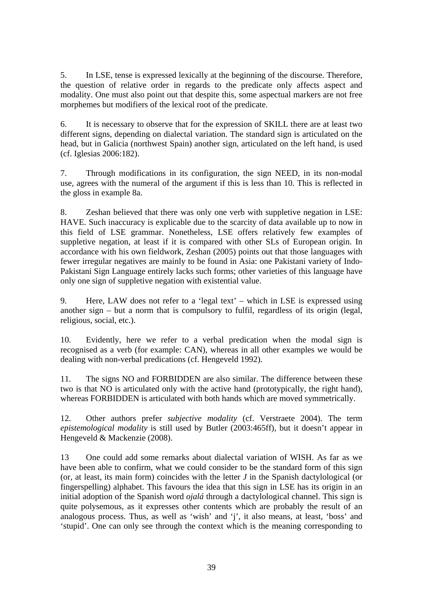5. In LSE, tense is expressed lexically at the beginning of the discourse. Therefore, the question of relative order in regards to the predicate only affects aspect and modality. One must also point out that despite this, some aspectual markers are not free morphemes but modifiers of the lexical root of the predicate.

6. It is necessary to observe that for the expression of SKILL there are at least two different signs, depending on dialectal variation. The standard sign is articulated on the head, but in Galicia (northwest Spain) another sign, articulated on the left hand, is used (cf. Iglesias 2006:182).

7. Through modifications in its configuration, the sign NEED, in its non-modal use, agrees with the numeral of the argument if this is less than 10. This is reflected in the gloss in example 8a.

8. Zeshan believed that there was only one verb with suppletive negation in LSE: HAVE. Such inaccuracy is explicable due to the scarcity of data available up to now in this field of LSE grammar. Nonetheless, LSE offers relatively few examples of suppletive negation, at least if it is compared with other SLs of European origin. In accordance with his own fieldwork, Zeshan (2005) points out that those languages with fewer irregular negatives are mainly to be found in Asia: one Pakistani variety of Indo-Pakistani Sign Language entirely lacks such forms; other varieties of this language have only one sign of suppletive negation with existential value.

9. Here, LAW does not refer to a 'legal text' – which in LSE is expressed using another sign – but a norm that is compulsory to fulfil, regardless of its origin (legal, religious, social, etc.).

10. Evidently, here we refer to a verbal predication when the modal sign is recognised as a verb (for example: CAN), whereas in all other examples we would be dealing with non-verbal predications (cf. Hengeveld 1992).

11. The signs NO and FORBIDDEN are also similar. The difference between these two is that NO is articulated only with the active hand (prototypically, the right hand), whereas FORBIDDEN is articulated with both hands which are moved symmetrically.

12. Other authors prefer *subjective modality* (cf. Verstraete 2004). The term *epistemological modality* is still used by Butler (2003:465ff), but it doesn't appear in Hengeveld & Mackenzie (2008).

13 One could add some remarks about dialectal variation of WISH. As far as we have been able to confirm, what we could consider to be the standard form of this sign (or, at least, its main form) coincides with the letter *J* in the Spanish dactylological (or fingerspelling) alphabet. This favours the idea that this sign in LSE has its origin in an initial adoption of the Spanish word *ojalá* through a dactylological channel. This sign is quite polysemous, as it expresses other contents which are probably the result of an analogous process. Thus, as well as 'wish' and 'j', it also means, at least, 'boss' and 'stupid'. One can only see through the context which is the meaning corresponding to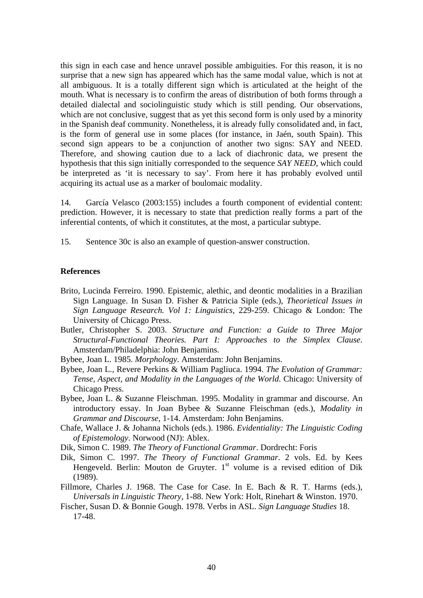this sign in each case and hence unravel possible ambiguities. For this reason, it is no surprise that a new sign has appeared which has the same modal value, which is not at all ambiguous. It is a totally different sign which is articulated at the height of the mouth. What is necessary is to confirm the areas of distribution of both forms through a detailed dialectal and sociolinguistic study which is still pending. Our observations, which are not conclusive, suggest that as yet this second form is only used by a minority in the Spanish deaf community. Nonetheless, it is already fully consolidated and, in fact, is the form of general use in some places (for instance, in Jaén, south Spain). This second sign appears to be a conjunction of another two signs: SAY and NEED. Therefore, and showing caution due to a lack of diachronic data, we present the hypothesis that this sign initially corresponded to the sequence *SAY NEED*, which could be interpreted as 'it is necessary to say'. From here it has probably evolved until acquiring its actual use as a marker of boulomaic modality.

14. García Velasco (2003:155) includes a fourth component of evidential content: prediction. However, it is necessary to state that prediction really forms a part of the inferential contents, of which it constitutes, at the most, a particular subtype.

15. Sentence 30c is also an example of question-answer construction.

#### **References**

- Brito, Lucinda Ferreiro. 1990. Epistemic, alethic, and deontic modalities in a Brazilian Sign Language. In Susan D. Fisher & Patricia Siple (eds.), *Theorietical Issues in Sign Language Research. Vol 1: Linguistics*, 229-259. Chicago & London: The University of Chicago Press.
- Butler, Christopher S. 2003. *Structure and Function: a Guide to Three Major Structural-Functional Theories. Part I: Approaches to the Simplex Clause*. Amsterdam/Philadelphia: John Benjamins.
- Bybee, Joan L. 1985. *Morphology*. Amsterdam: John Benjamins.
- Bybee, Joan L., Revere Perkins & William Pagliuca. 1994. *The Evolution of Grammar: Tense, Aspect, and Modality in the Languages of the World*. Chicago: University of Chicago Press.
- Bybee, Joan L. & Suzanne Fleischman. 1995. Modality in grammar and discourse. An introductory essay. In Joan Bybee & Suzanne Fleischman (eds.), *Modality in Grammar and Discourse*, 1-14. Amsterdam: John Benjamins.
- Chafe, Wallace J. & Johanna Nichols (eds.). 1986. *Evidentiality: The Linguistic Coding of Epistemology*. Norwood (NJ): Ablex.
- Dik, Simon C. 1989. *The Theory of Functional Grammar*. Dordrecht: Foris
- Dik, Simon C. 1997. *The Theory of Functional Grammar*. 2 vols. Ed. by Kees Hengeveld. Berlin: Mouton de Gruyter.  $1<sup>st</sup>$  volume is a revised edition of Dik (1989).
- Fillmore, Charles J. 1968. The Case for Case. In E. Bach & R. T. Harms (eds.), *Universals in Linguistic Theory*, 1-88. New York: Holt, Rinehart & Winston. 1970.
- Fischer, Susan D. & Bonnie Gough. 1978. Verbs in ASL. *Sign Language Studies* 18. 17-48.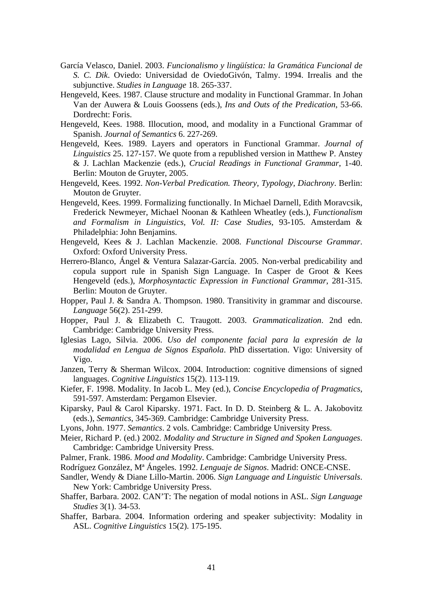- García Velasco, Daniel. 2003. *Funcionalismo y lingüística: la Gramática Funcional de S. C. Dik*. Oviedo: Universidad de OviedoGivón, Talmy. 1994. Irrealis and the subjunctive. *Studies in Language* 18. 265-337.
- Hengeveld, Kees. 1987. Clause structure and modality in Functional Grammar. In Johan Van der Auwera & Louis Goossens (eds.), *Ins and Outs of the Predication*, 53-66. Dordrecht: Foris.
- Hengeveld, Kees. 1988. Illocution, mood, and modality in a Functional Grammar of Spanish. *Journal of Semantics* 6. 227-269.
- Hengeveld, Kees. 1989. Layers and operators in Functional Grammar. *Journal of Linguistics* 25. 127-157. We quote from a republished version in Matthew P. Anstey & J. Lachlan Mackenzie (eds.), *Crucial Readings in Functional Grammar*, 1-40. Berlin: Mouton de Gruyter, 2005.
- Hengeveld, Kees. 1992. *Non-Verbal Predication. Theory, Typology, Diachrony*. Berlin: Mouton de Gruyter.
- Hengeveld, Kees. 1999. Formalizing functionally. In Michael Darnell, Edith Moravcsik, Frederick Newmeyer, Michael Noonan & Kathleen Wheatley (eds.), *Functionalism and Formalism in Linguistics, Vol. II: Case Studies*, 93-105. Amsterdam & Philadelphia: John Benjamins.
- Hengeveld, Kees & J. Lachlan Mackenzie. 2008. *Functional Discourse Grammar*. Oxford: Oxford University Press.
- Herrero-Blanco, Ángel & Ventura Salazar-García. 2005. Non-verbal predicability and copula support rule in Spanish Sign Language. In Casper de Groot & Kees Hengeveld (eds.), *Morphosyntactic Expression in Functional Grammar*, 281-315. Berlin: Mouton de Gruyter.
- Hopper, Paul J. & Sandra A. Thompson. 1980. Transitivity in grammar and discourse. *Language* 56(2). 251-299.
- Hopper, Paul J. & Elizabeth C. Traugott. 2003. *Grammaticalization*. 2nd edn. Cambridge: Cambridge University Press.
- Iglesias Lago, Silvia. 2006. *Uso del componente facial para la expresión de la modalidad en Lengua de Signos Española*. PhD dissertation. Vigo: University of Vigo.
- Janzen, Terry & Sherman Wilcox. 2004. Introduction: cognitive dimensions of signed languages. *Cognitive Linguistics* 15(2). 113-119.
- Kiefer, F. 1998. Modality. In Jacob L. Mey (ed.), *Concise Encyclopedia of Pragmatics*, 591-597. Amsterdam: Pergamon Elsevier.
- Kiparsky, Paul & Carol Kiparsky. 1971. Fact. In D. D. Steinberg & L. A. Jakobovitz (eds.), *Semantics*, 345-369. Cambridge: Cambridge University Press.
- Lyons, John. 1977. *Semantics*. 2 vols. Cambridge: Cambridge University Press.
- Meier, Richard P. (ed.) 2002. *Modality and Structure in Signed and Spoken Languages*. Cambridge: Cambridge University Press.
- Palmer, Frank. 1986. *Mood and Modality*. Cambridge: Cambridge University Press.
- Rodríguez González, Mª Ángeles. 1992. *Lenguaje de Signos*. Madrid: ONCE-CNSE.
- Sandler, Wendy & Diane Lillo-Martin. 2006. *Sign Language and Linguistic Universals*. New York: Cambridge University Press.
- Shaffer, Barbara. 2002. CAN'T: The negation of modal notions in ASL. *Sign Language Studies* 3(1). 34-53.
- Shaffer, Barbara. 2004. Information ordering and speaker subjectivity: Modality in ASL. *Cognitive Linguistics* 15(2). 175-195.